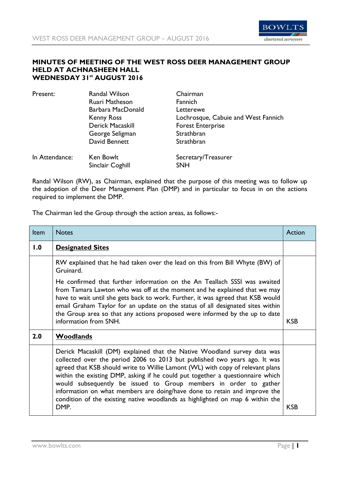

## **MINUTES OF MEETING OF THE WEST ROSS DEER MANAGEMENT GROUP HELD AT ACHNASHEEN HALL WEDNESDAY 31st AUGUST 2016**

| Present:       | Randal Wilson     | Chairman                            |
|----------------|-------------------|-------------------------------------|
|                | Ruari Matheson    | Fannich                             |
|                | Barbara MacDonald | Letterewe                           |
|                | <b>Kenny Ross</b> | Lochrosque, Cabuie and West Fannich |
|                | Derick Macaskill  | <b>Forest Enterprise</b>            |
|                | George Seligman   | Strathbran                          |
|                | David Bennett     | Strathbran                          |
| In Attendance: | Ken Bowlt         | Secretary/Treasurer                 |
|                | Sinclair Coghill  | <b>SNH</b>                          |

Randal Wilson (RW), as Chairman, explained that the purpose of this meeting was to follow up the adoption of the Deer Management Plan (DMP) and in particular to focus in on the actions required to implement the DMP.

The Chairman led the Group through the action areas, as follows:-

| Item | <b>Notes</b>                                                                                                                                                                                                                                                                                                                                                                                                                                                                                                                                                         | Action     |
|------|----------------------------------------------------------------------------------------------------------------------------------------------------------------------------------------------------------------------------------------------------------------------------------------------------------------------------------------------------------------------------------------------------------------------------------------------------------------------------------------------------------------------------------------------------------------------|------------|
| 0.1  | <b>Designated Sites</b>                                                                                                                                                                                                                                                                                                                                                                                                                                                                                                                                              |            |
|      | RW explained that he had taken over the lead on this from Bill Whyte (BW) of<br>Gruinard.                                                                                                                                                                                                                                                                                                                                                                                                                                                                            |            |
|      | He confirmed that further information on the An Teallach SSSI was awaited<br>from Tamara Lawton who was off at the moment and he explained that we may<br>have to wait until she gets back to work. Further, it was agreed that KSB would<br>email Graham Taylor for an update on the status of all designated sites within<br>the Group area so that any actions proposed were informed by the up to date<br>information from SNH.                                                                                                                                  | <b>KSB</b> |
| 2.0  | Woodlands                                                                                                                                                                                                                                                                                                                                                                                                                                                                                                                                                            |            |
|      | Derick Macaskill (DM) explained that the Native Woodland survey data was<br>collected over the period 2006 to 2013 but published two years ago. It was<br>agreed that KSB should write to Willie Lamont (WL) with copy of relevant plans<br>within the existing DMP, asking if he could put together a questionnaire which<br>would subsequently be issued to Group members in order to gather<br>information on what members are doing/have done to retain and improve the<br>condition of the existing native woodlands as highlighted on map 6 within the<br>DMP. | <b>KSB</b> |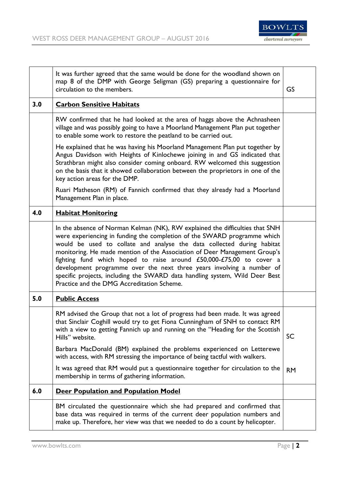

|     | It was further agreed that the same would be done for the woodland shown on<br>map 8 of the DMP with George Seligman (GS) preparing a questionnaire for<br>circulation to the members.                                                                                                                                                                                                                                                                                                                                                                                                       | GS        |
|-----|----------------------------------------------------------------------------------------------------------------------------------------------------------------------------------------------------------------------------------------------------------------------------------------------------------------------------------------------------------------------------------------------------------------------------------------------------------------------------------------------------------------------------------------------------------------------------------------------|-----------|
| 3.0 | <b>Carbon Sensitive Habitats</b>                                                                                                                                                                                                                                                                                                                                                                                                                                                                                                                                                             |           |
|     | RW confirmed that he had looked at the area of haggs above the Achnasheen<br>village and was possibly going to have a Moorland Management Plan put together<br>to enable some work to restore the peatland to be carried out.                                                                                                                                                                                                                                                                                                                                                                |           |
|     | He explained that he was having his Moorland Management Plan put together by<br>Angus Davidson with Heights of Kinlochewe joining in and GS indicated that<br>Strathbran might also consider coming onboard. RW welcomed this suggestion<br>on the basis that it showed collaboration between the proprietors in one of the<br>key action areas for the DMP.                                                                                                                                                                                                                                 |           |
|     | Ruari Matheson (RM) of Fannich confirmed that they already had a Moorland<br>Management Plan in place.                                                                                                                                                                                                                                                                                                                                                                                                                                                                                       |           |
| 4.0 | <b>Habitat Monitoring</b>                                                                                                                                                                                                                                                                                                                                                                                                                                                                                                                                                                    |           |
|     | In the absence of Norman Kelman (NK), RW explained the difficulties that SNH<br>were experiencing in funding the completion of the SWARD programme which<br>would be used to collate and analyse the data collected during habitat<br>monitoring. He made mention of the Association of Deer Management Group's<br>fighting fund which hoped to raise around £50,000-£75,00 to cover a<br>development programme over the next three years involving a number of<br>specific projects, including the SWARD data handling system, Wild Deer Best<br>Practice and the DMG Accreditation Scheme. |           |
| 5.0 | <b>Public Access</b>                                                                                                                                                                                                                                                                                                                                                                                                                                                                                                                                                                         |           |
|     | RM advised the Group that not a lot of progress had been made. It was agreed<br>that Sinclair Coghill would try to get Fiona Cunningham of SNH to contact RM<br>with a view to getting Fannich up and running on the "Heading for the Scottish<br>Hills" website.                                                                                                                                                                                                                                                                                                                            | SC        |
|     | Barbara MacDonald (BM) explained the problems experienced on Letterewe<br>with access, with RM stressing the importance of being tactful with walkers.                                                                                                                                                                                                                                                                                                                                                                                                                                       |           |
|     | It was agreed that RM would put a questionnaire together for circulation to the<br>membership in terms of gathering information.                                                                                                                                                                                                                                                                                                                                                                                                                                                             | <b>RM</b> |
| 6.0 | <b>Deer Population and Population Model</b>                                                                                                                                                                                                                                                                                                                                                                                                                                                                                                                                                  |           |
|     | BM circulated the questionnaire which she had prepared and confirmed that<br>base data was required in terms of the current deer population numbers and<br>make up. Therefore, her view was that we needed to do a count by helicopter.                                                                                                                                                                                                                                                                                                                                                      |           |

J.